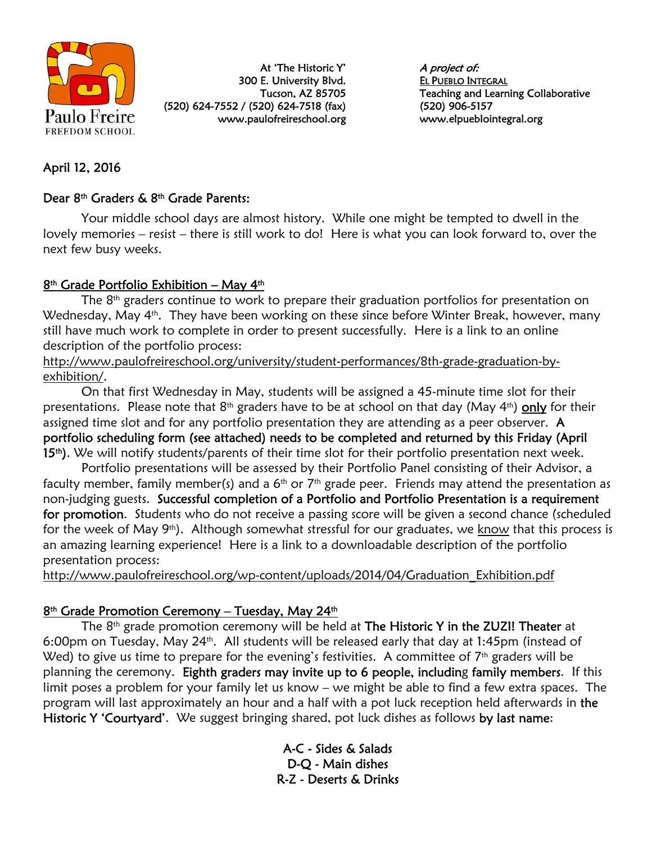

At 'The Historic Y' 300 E. University Blvd. Tucson, AZ 85705 (520) 624-7552 / (520) 624-7518 (fax) www.paulofreireschool.org A project of: EL PUEBLO INTEGRAL Teaching and Learning Collaborative (520) 906-5157 www.elpueblointegral.org

## April 12, 2016

#### Dear 8th Graders & 8th Grade Parents:

Your middle school days are almost history. While one might be tempted to dwell in the lovely memories – resist – there is still work to do! Here is what you can look forward to, over the next few busy weeks.

### $8<sup>th</sup>$  Grade Portfolio Exhibition – May 4<sup>th</sup>

The 8<sup>th</sup> graders continue to work to prepare their graduation portfolios for presentation on Wednesday, May 4<sup>th</sup>. They have been working on these since before Winter Break, however, many still have much work to complete in order to present successfully. Here is a link to an online description of the portfolio process:

http://www.paulofreireschool.org/university/student-performances/8th-grade-graduation-byexhibition/.

On that first Wednesday in May, students will be assigned a 45-minute time slot for their presentations. Please note that 8<sup>th</sup> graders have to be at school on that day (May 4<sup>th</sup>) only for their assigned time slot and for any portfolio presentation they are attending as a peer observer.  $\bf{A}$ portfolio scheduling form (see attached) needs to be completed and returned by this Friday (April 15<sup>th</sup>). We will notify students/parents of their time slot for their portfolio presentation next week.

Portfolio presentations will be assessed by their Portfolio Panel consisting of their Advisor, a faculty member, family member(s) and a  $6<sup>th</sup>$  or  $7<sup>th</sup>$  grade peer. Friends may attend the presentation as non-judging guests. Successful completion of a Portfolio and Portfolio Presentation is a requirement for promotion. Students who do not receive a passing score will be given a second chance (scheduled for the week of May  $9<sup>th</sup>$ . Although somewhat stressful for our graduates, we know that this process is an amazing learning experience! Here is a link to a downloadable description of the portfolio presentation process:

http://www.paulofreireschool.org/wp-content/uploads/2014/04/Graduation\_Exhibition.pdf

#### 8<sup>th</sup> Grade Promotion Ceremony - Tuesday, May 24<sup>th</sup>

The  $8<sup>th</sup>$  grade promotion ceremony will be held at The Historic Y in the ZUZI! Theater at 6:00pm on Tuesday, May 24th. All students will be released early that day at 1:45pm (instead of Wed) to give us time to prepare for the evening's festivities. A committee of  $7<sup>th</sup>$  graders will be planning the ceremony. Eighth graders may invite up to 6 people, including family members. If this limit poses a problem for your family let us know – we might be able to find a few extra spaces. The program will last approximately an hour and a half with a pot luck reception held afterwards in the Historic Y 'Courtyard'. We suggest bringing shared, pot luck dishes as follows by last name:

> A-C - Sides & Salads D-Q - Main dishes R-Z - Deserts & Drinks